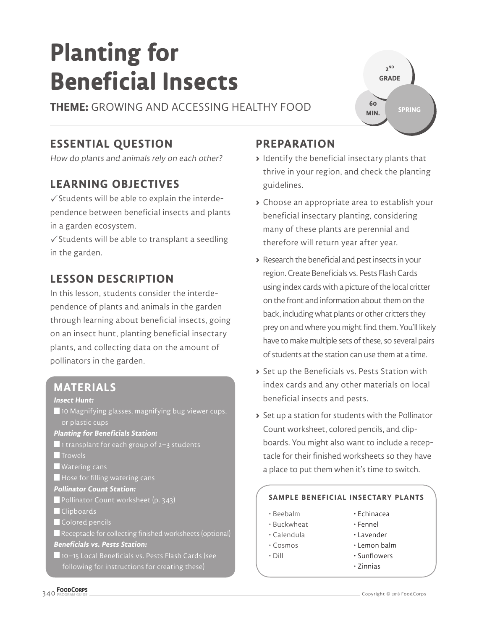# **Planting for Beneficial Insects**

**THEME:** GROWING AND ACCESSING HEALTHY FOOD

# **ESSENTIAL QUESTION**

How do plants and animals rely on each other?

# **LEARNING OBJECTIVES**

 $\checkmark$  Students will be able to explain the interdependence between beneficial insects and plants in a garden ecosystem.

 $\checkmark$  Students will be able to transplant a seedling in the garden.

# **LESSON DESCRIPTION**

In this lesson, students consider the interdependence of plants and animals in the garden through learning about beneficial insects, going on an insect hunt, planting beneficial insectary plants, and collecting data on the amount of pollinators in the garden.

#### **MATERIALS**

#### **Insect Hunt:**

■ 10 Magnifying glasses, magnifying bug viewer cups, or plastic cups

#### **Planting for Beneficials Station:**

- ■1 transplant for each group of 2–3 students **T**Trowels
- Watering cans
- $\blacksquare$  Hose for filling watering cans

#### **Pollinator Count Station:**

- **Pollinator Count worksheet (p. 343)**
- **Clipboards**
- Colored pencils
- Receptacle for collecting finished worksheets (optional) **Beneficials vs. Pests Station:**

 10–15 Local Beneficials vs. Pests Flash Cards (see following for instructions for creating these)

### **PREPARATION**

**>** Identify the beneficial insectary plants that thrive in your region, and check the planting guidelines.

**2 ND GRADE** 

**60 MIN.**

**SPRING**

- **>** Choose an appropriate area to establish your beneficial insectary planting, considering many of these plants are perennial and therefore will return year after year.
- **>** Research the beneficial and pest insects in your region. Create Beneficials vs. Pests Flash Cards using index cards with a picture of the local critter on the front and information about them on the back, including what plants or other critters they prey on and where you might find them. You'll likely have to make multiple sets of these, so several pairs of students at the station can use them at a time.
- **>** Set up the Beneficials vs. Pests Station with index cards and any other materials on local beneficial insects and pests.
- **>** Set up a station for students with the Pollinator Count worksheet, colored pencils, and clipboards. You might also want to include a receptacle for their finished worksheets so they have a place to put them when it's time to switch.

#### **SAMPLE BENEFICIAL INSECTARY PLANTS**

- Beebalm
- Echinacea • Fennel
- Buckwheat • Calendula
- Lavender
- Cosmos
- Lemon balm
- Dill
- Sunflowers • Zinnias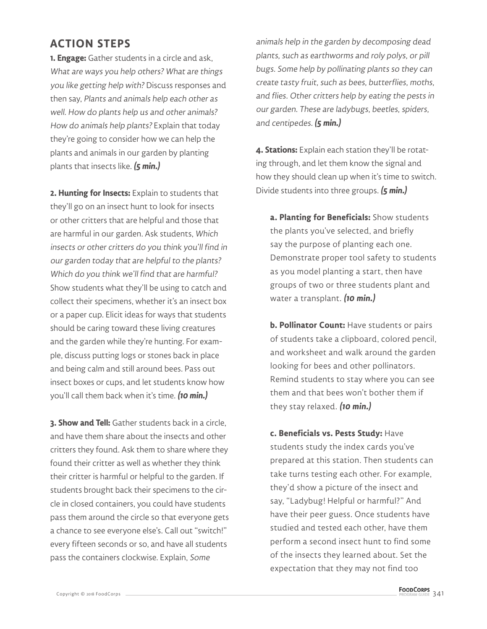## **ACTION STEPS**

**1. Engage:** Gather students in a circle and ask, What are ways you help others? What are things you like getting help with? Discuss responses and then say, Plants and animals help each other as well. How do plants help us and other animals? How do animals help plants? Explain that today they're going to consider how we can help the plants and animals in our garden by planting plants that insects like. **(5 min.)**

**2. Hunting for Insects:** Explain to students that they'll go on an insect hunt to look for insects or other critters that are helpful and those that are harmful in our garden. Ask students, Which insects or other critters do you think you'll find in our garden today that are helpful to the plants? Which do you think we'll find that are harmful? Show students what they'll be using to catch and collect their specimens, whether it's an insect box or a paper cup. Elicit ideas for ways that students should be caring toward these living creatures and the garden while they're hunting. For example, discuss putting logs or stones back in place and being calm and still around bees. Pass out insect boxes or cups, and let students know how you'll call them back when it's time. **(10 min.)**

**3. Show and Tell:** Gather students back in a circle, and have them share about the insects and other critters they found. Ask them to share where they found their critter as well as whether they think their critter is harmful or helpful to the garden. If students brought back their specimens to the circle in closed containers, you could have students pass them around the circle so that everyone gets a chance to see everyone else's. Call out "switch!" every fifteen seconds or so, and have all students pass the containers clockwise. Explain, Some

animals help in the garden by decomposing dead plants, such as earthworms and roly polys, or pill bugs. Some help by pollinating plants so they can create tasty fruit, such as bees, butterflies, moths, and flies. Other critters help by eating the pests in our garden. These are ladybugs, beetles, spiders, and centipedes. **(5 min.)**

**4. Stations:** Explain each station they'll be rotating through, and let them know the signal and how they should clean up when it's time to switch. Divide students into three groups. **(5 min.)**

**a. Planting for Beneficials:** Show students the plants you've selected, and briefly say the purpose of planting each one. Demonstrate proper tool safety to students as you model planting a start, then have groups of two or three students plant and water a transplant. **(10 min.)**

**b. Pollinator Count:** Have students or pairs of students take a clipboard, colored pencil, and worksheet and walk around the garden looking for bees and other pollinators. Remind students to stay where you can see them and that bees won't bother them if they stay relaxed. **(10 min.)**

**c. Beneficials vs. Pests Study:** Have students study the index cards you've prepared at this station. Then students can take turns testing each other. For example, they'd show a picture of the insect and say, "Ladybug! Helpful or harmful?" And have their peer guess. Once students have studied and tested each other, have them perform a second insect hunt to find some of the insects they learned about. Set the expectation that they may not find too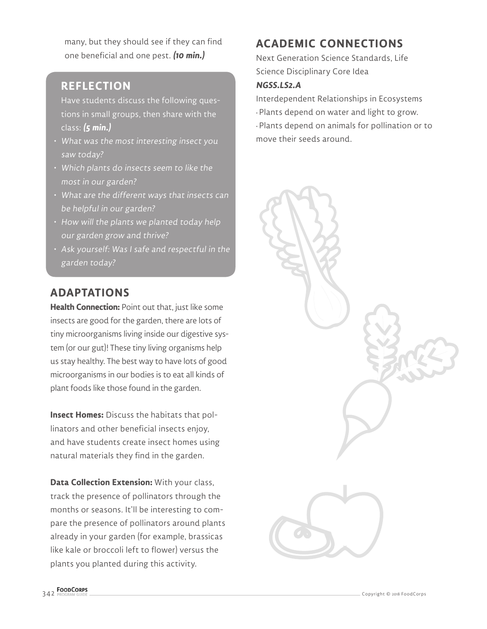many, but they should see if they can find one beneficial and one pest. **(10 min.)**

### **REFLECTION**

Have students discuss the following questions in small groups, then share with the class: **(5 min.)**

- What was the most interesting insect you saw today?
- Which plants do insects seem to like the most in our garden?
- What are the different ways that insects can be helpful in our garden?
- How will the plants we planted today help our garden grow and thrive?
- Ask yourself: Was I safe and respectful in the garden today?

### **ADAPTATIONS**

**Health Connection: Point out that, just like some** insects are good for the garden, there are lots of tiny microorganisms living inside our digestive system (or our gut)! These tiny living organisms help us stay healthy. The best way to have lots of good microorganisms in our bodies is to eat all kinds of plant foods like those found in the garden.

**Insect Homes:** Discuss the habitats that pollinators and other beneficial insects enjoy, and have students create insect homes using natural materials they find in the garden.

**Data Collection Extension:** With your class, track the presence of pollinators through the months or seasons. It'll be interesting to compare the presence of pollinators around plants already in your garden (for example, brassicas like kale or broccoli left to flower) versus the plants you planted during this activity.

# **ACADEMIC CONNECTIONS**

Next Generation Science Standards, Life Science Disciplinary Core Idea

#### **NGSS.LS2.A**

Interdependent Relationships in Ecosystems • Plants depend on water and light to grow. • Plants depend on animals for pollination or to move their seeds around.